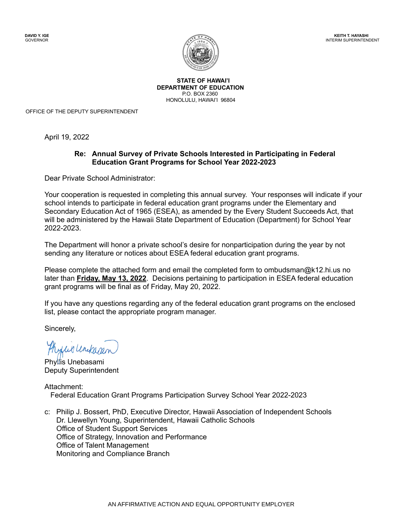

**STATE OF HAWAI'I DEPARTMENT OF EDUCATION** P.O. BOX 2360 HONOLULU, HAWAI'I 96804

OFFICE OF THE DEPUTY SUPERINTENDENT

April 19, 2022

# **Re: Annual Survey of Private Schools Interested in Participating in Federal Education Grant Programs for School Year 2022-2023**

Dear Private School Administrator:

Your cooperation is requested in completing this annual survey. Your responses will indicate if your school intends to participate in federal education grant programs under the Elementary and Secondary Education Act of 1965 (ESEA), as amended by the Every Student Succeeds Act, that will be administered by the Hawaii State Department of Education (Department) for School Year 2022-2023.

The Department will honor a private school's desire for nonparticipation during the year by not sending any literature or notices about ESEA federal education grant programs.

Please complete the attached form and email the completed form to ombudsman@k12.hi.us no later than **Friday, May 13, 2022**. Decisions pertaining to participation in ESEA federal education grant programs will be final as of Friday, May 20, 2022.

If you have any questions regarding any of the federal education grant programs on the enclosed list, please contact the appropriate program manager.

Sincerely,

Phyllis Unebasami Deputy Superintendent

Attachment: Federal Education Grant Programs Participation Survey School Year 2022-2023

c: Philip J. Bossert, PhD, Executive Director, Hawaii Association of Independent Schools Dr. Llewellyn Young, Superintendent, Hawaii Catholic Schools Office of Student Support Services Office of Strategy, Innovation and Performance Office of Talent Management Monitoring and Compliance Branch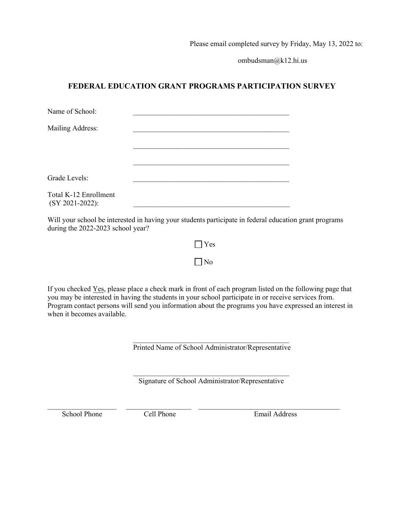Please email completed survey by Friday, May 13, 2022 to:

ombudsman@k12.hi.us

# **FEDERAL EDUCATION GRANT PROGRAMS PARTICIPATION SURVEY**

| Name of School:                             |  |
|---------------------------------------------|--|
| Mailing Address:                            |  |
|                                             |  |
|                                             |  |
| Grade Levels:                               |  |
| Total K-12 Enrollment<br>$(SY 2021-2022)$ : |  |

Will your school be interested in having your students participate in federal education grant programs during the 2022-2023 school year?

| es<br>Y             |
|---------------------|
| $\overline{v}$<br>Ő |

If you checked Yes, please place a check mark in front of each program listed on the following page that you may be interested in having the students in your school participate in or receive services from. Program contact persons will send you information about the programs you have expressed an interest in when it becomes available.

> $\mathcal{L}_\text{max}$  , and the set of the set of the set of the set of the set of the set of the set of the set of the set of the set of the set of the set of the set of the set of the set of the set of the set of the set of the Printed Name of School Administrator/Representative

> $\mathcal{L}_\text{max}$  , and the set of the set of the set of the set of the set of the set of the set of the set of the set of the set of the set of the set of the set of the set of the set of the set of the set of the set of the Signature of School Administrator/Representative

 $\_$  , and the set of the set of the set of the set of the set of the set of the set of the set of the set of the set of the set of the set of the set of the set of the set of the set of the set of the set of the set of th

School Phone Cell Phone Email Address